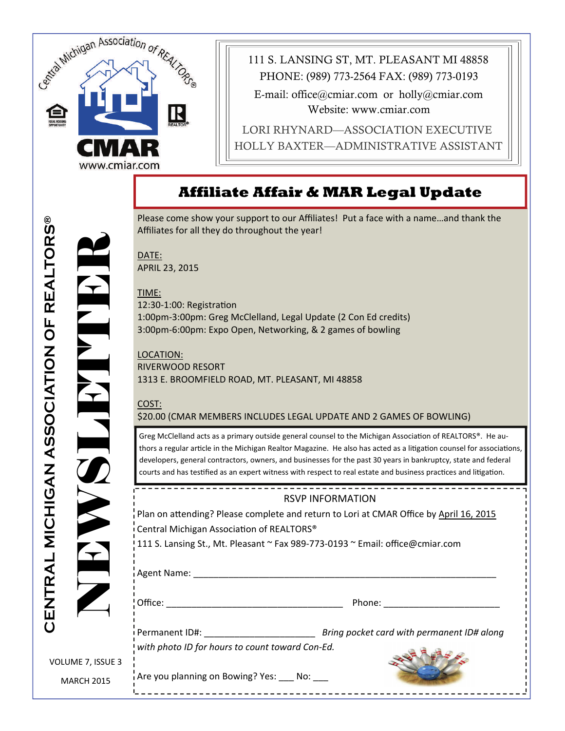

111 S. LANSING ST, MT. PLEASANT MI 48858 E-mail: office@cmiar.com or holly@cmiar.com Website: www.cmiar.com LORI RHYNARD—ASSOCIATION EXECUTIVE HOLLY BAXTER—ADMINISTRATIVE ASSISTANT PHONE: (989) 773-2564 FAX: (989) 773-0193

# **Affiliate Affair & MAR Legal Update**

Please come show your support to our Affiliates! Put a face with a name…and thank the Affiliates for all they do throughout the year!

DATE: APRIL 23, 2015

TIME: 12:30-1:00: Registration 1:00pm‐3:00pm: Greg McClelland, Legal Update (2 Con Ed credits) 3:00pm‐6:00pm: Expo Open, Networking, & 2 games of bowling

LOCATION: RIVERWOOD RESORT 1313 E. BROOMFIELD ROAD, MT. PLEASANT, MI 48858

\_\_\_\_\_\_\_\_\_\_\_\_\_\_\_\_\_

#### COST: \$20.00 (CMAR MEMBERS INCLUDES LEGAL UPDATE AND 2 GAMES OF BOWLING)

Greg McClelland acts as a primary outside general counsel to the Michigan Association of REALTORS®. He authors a regular article in the Michigan Realtor Magazine. He also has acted as a litigation counsel for associations, developers, general contractors, owners, and businesses for the past 30 years in bankruptcy, state and federal courts and has testified as an expert witness with respect to real estate and business practices and litigation.

#### RSVP INFORMATION

Plan on attending? Please complete and return to Lori at CMAR Office by April 16, 2015 Central Michigan Association of REALTORS<sup>®</sup>

111 S. Lansing St., Mt. Pleasant ~ Fax 989‐773‐0193 ~ Email: office@cmiar.com

Agent Name: \_\_\_\_\_\_\_\_\_\_\_\_\_\_\_\_\_\_\_\_\_\_\_\_\_\_\_\_\_\_\_\_\_\_\_\_\_\_\_\_\_\_\_\_\_\_\_\_\_\_\_\_\_\_\_\_\_\_\_\_

Office: The contract of the contract of the Phone:  $\blacksquare$ 

Permanent ID#: \_\_\_\_\_\_\_\_\_\_\_\_\_\_\_\_\_\_\_\_\_\_ *Bring pocket card with permanent ID# along with photo ID for hours to count toward Con‐Ed.*

VOLUME 7, ISSUE 3 MARCH 2015

Are you planning on Bowing? Yes: \_\_\_\_ No: \_\_\_

RELEASES NEWSLET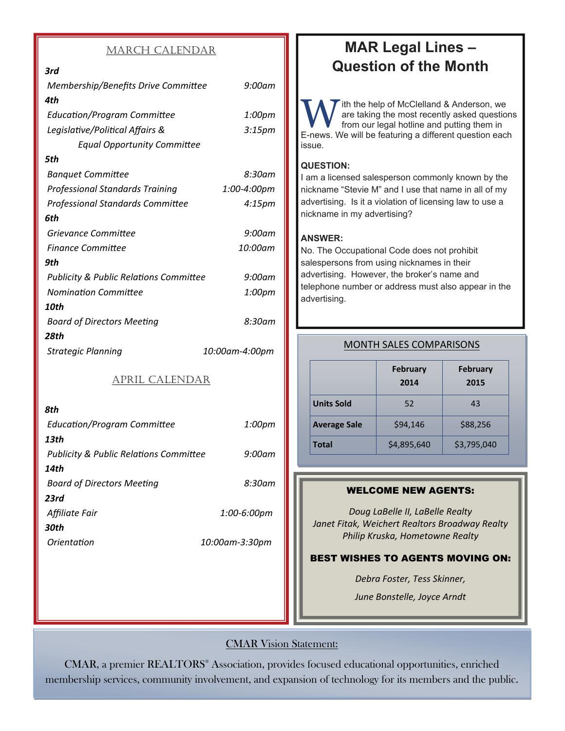#### MARCH CALENDAR

## *3rd Membership/Benefits Drive CommiƩee 9:00am 4th EducaƟon/Program CommiƩee 1:00pm LegislaƟve/PoliƟcal Affairs & 3:15pm Equal Opportunity CommiƩee 5th Banquet Committee 8:30am Professional Standards Training 1:00‐4:00pm Professional Standards CommiƩee 4:15pm 6th Grievance CommiƩee 9:00am Finance CommiƩee 10:00am 9th Publicity & Public RelaƟons CommiƩee 9:00am NominaƟon CommiƩee 1:00pm 10th Board of Directors MeeƟng 8:30am 28th Strategic Planning 10:00am‐4:00pm*

#### APRIL CALENDAR

| 8th                                               |                |
|---------------------------------------------------|----------------|
| <b>Education/Program Committee</b>                | 1:00pm         |
| 13th                                              |                |
| <b>Publicity &amp; Public Relations Committee</b> | $9:00$ am      |
| 14th                                              |                |
| <b>Board of Directors Meeting</b>                 | 8:30am         |
| 23rd                                              |                |
| Affiliate Fair                                    | 1:00-6:00pm    |
| 30th                                              |                |
| Orientation                                       | 10:00am-3:30pm |
|                                                   |                |

# **MAR Legal Lines – Question of the Month**

W ith the help of McClelland & Anderson, we<br>are taking the most recently asked question<br>from our legal hotline and putting them in are taking the most recently asked questions from our legal hotline and putting them in E-news. We will be featuring a different question each issue.

## **QUESTION:**

I am a licensed salesperson commonly known by the nickname "Stevie M" and I use that name in all of my advertising. Is it a violation of licensing law to use a nickname in my advertising?

#### **ANSWER:**

No. The Occupational Code does not prohibit salespersons from using nicknames in their advertising. However, the broker's name and telephone number or address must also appear in the advertising.

|                     | <b>February</b><br>2014 | <b>February</b><br>2015 |
|---------------------|-------------------------|-------------------------|
| <b>Units Sold</b>   | 52                      | 43                      |
| <b>Average Sale</b> | \$94,146                | \$88,256                |
| <b>Total</b>        | \$4,895,640             | \$3,795,040             |

#### MONTH SALES COMPARISONS

#### WELCOME NEW AGENTS:

*Doug LaBelle II, LaBelle Realty Janet Fitak, Weichert Realtors Broadway Realty Philip Kruska, Hometowne Realty*

#### BEST WISHES TO AGENTS MOVING ON:

*Debra Foster, Tess Skinner,* 

*June Bonstelle, Joyce Arndt*

### CMAR Vision Statement:

CMAR, a premier REALTORS® Association, provides focused educational opportunities, enriched membership services, community involvement, and expansion of technology for its members and the public.